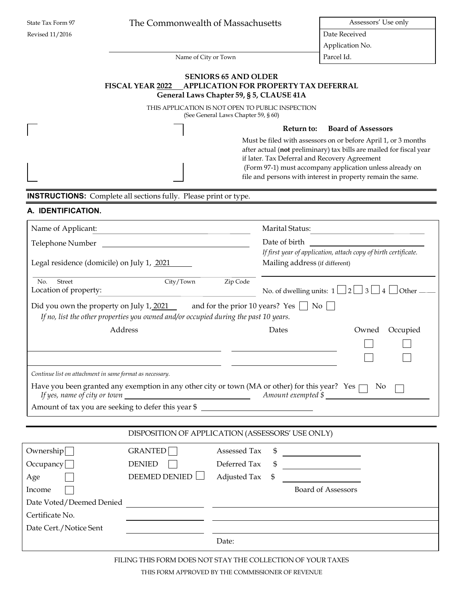| State Tax Form 97 |  |
|-------------------|--|
| Revised 11/2016   |  |

# The Commonwealth of Massachusetts Assessors' Use only

Date Received Application No.

Name of City or Town Parcel Id.

#### **SENIORS 65 AND OLDER FISCAL YEAR 2022 APPLICATION FOR PROPERTY TAX DEFERRAL General Laws Chapter 59, § 5, CLAUSE 41A**

THIS APPLICATION IS NOT OPEN TO PUBLIC INSPECTION (See General Laws Chapter 59, § 60)

**Return to: Board of Assessors**

Must be filed with assessors on or before April 1, or 3 months after actual (**not** preliminary) tax bills are mailed for fiscal year if later. Tax Deferral and Recovery Agreement (Form 97-1) must accompany application unless already on file and persons with interest in property remain the same.

**INSTRUCTIONS:** Complete all sections fully. Please print or type.

# **A. IDENTIFICATION.**

| Name of Applicant:                                                                                                                                                                                                |                                                                                                                                                                   | Marital Status: |                                                                                                   |                   |
|-------------------------------------------------------------------------------------------------------------------------------------------------------------------------------------------------------------------|-------------------------------------------------------------------------------------------------------------------------------------------------------------------|-----------------|---------------------------------------------------------------------------------------------------|-------------------|
|                                                                                                                                                                                                                   |                                                                                                                                                                   |                 |                                                                                                   |                   |
| Legal residence (domicile) on July 1, 2021                                                                                                                                                                        |                                                                                                                                                                   |                 | If first year of application, attach copy of birth certificate.<br>Mailing address (if different) |                   |
| Street<br>No.<br>Location of property:<br>Did you own the property on July 1, 2021 and for the prior 10 years? Yes $\Box$ No                                                                                      | City/Town<br><u> 1980 - Johann Barn, mars an t-Amerikaansk ferske omr</u><br>If no, list the other properties you owned and/or occupied during the past 10 years. | Zip Code        | No. of dwelling units: $1 \Box 2 \Box 3 \Box 4$                                                   | $\Box$ Other –    |
| Address                                                                                                                                                                                                           |                                                                                                                                                                   |                 | Dates                                                                                             | Occupied<br>Owned |
| Continue list on attachment in same format as necessary.<br>Have you been granted any exemption in any other city or town (MA or other) for this year? Yes<br>Amount of tax you are seeking to defer this year \$ |                                                                                                                                                                   |                 | $Amount$ exempted $\frac{1}{2}$ $\frac{1}{2}$                                                     | N <sub>0</sub>    |
|                                                                                                                                                                                                                   | DISPOSITION OF APPLICATION (ASSESSORS' USE ONLY)                                                                                                                  |                 |                                                                                                   |                   |
| Ownership                                                                                                                                                                                                         | GRANTED                                                                                                                                                           | Assessed Tax    |                                                                                                   |                   |
| Occupancy                                                                                                                                                                                                         | <b>DENIED</b>                                                                                                                                                     | Deferred Tax    |                                                                                                   |                   |
| Age                                                                                                                                                                                                               | <b>DEEMED DENIED</b>                                                                                                                                              | Adjusted Tax    |                                                                                                   |                   |
| Income<br>Date Voted/Deemed Denied                                                                                                                                                                                |                                                                                                                                                                   |                 | <b>Board of Assessors</b>                                                                         |                   |
| Certificate No.                                                                                                                                                                                                   |                                                                                                                                                                   |                 |                                                                                                   |                   |
| Date Cert./Notice Sent                                                                                                                                                                                            |                                                                                                                                                                   |                 |                                                                                                   |                   |
|                                                                                                                                                                                                                   |                                                                                                                                                                   | Date:           |                                                                                                   |                   |

FILING THIS FORM DOES NOT STAY THE COLLECTION OF YOUR TAXES

THIS FORM APPROVED BY THE COMMISSIONER OF REVENUE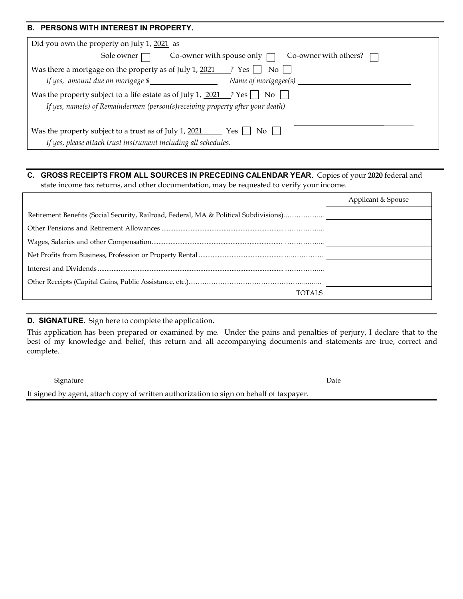#### **B. PERSONS WITH INTEREST IN PROPERTY.**

| Did you own the property on July 1, 2021 as                                               |  |  |  |  |  |  |
|-------------------------------------------------------------------------------------------|--|--|--|--|--|--|
| Co-owner with spouse only $\Box$ Co-owner with others?<br>Sole owner $\Box$               |  |  |  |  |  |  |
| Was there a mortgage on the property as of July 1, $2021$ ? Yes<br>$\mathrm{No}$          |  |  |  |  |  |  |
| If yes, amount due on mortgage \$<br>Name of mortgagee(s) $\_\_$                          |  |  |  |  |  |  |
| Was the property subject to a life estate as of July 1, $2021$ ? Yes    <br>$\mathrm{No}$ |  |  |  |  |  |  |
| If yes, name(s) of Remaindermen (person(s)receiving property after your death)            |  |  |  |  |  |  |
|                                                                                           |  |  |  |  |  |  |
| Was the property subject to a trust as of July 1, 2021<br>Yes 1<br>No.                    |  |  |  |  |  |  |
| If yes, please attach trust instrument including all schedules.                           |  |  |  |  |  |  |

# **C. GROSS RECEIPTS FROM ALL SOURCES IN PRECEDING CALENDAR YEAR**. Copies of your **2020** federal and

state income tax returns, and other documentation, may be requested to verify your income.

|                                                                                       | Applicant & Spouse |
|---------------------------------------------------------------------------------------|--------------------|
| Retirement Benefits (Social Security, Railroad, Federal, MA & Political Subdivisions) |                    |
|                                                                                       |                    |
|                                                                                       |                    |
|                                                                                       |                    |
|                                                                                       |                    |
|                                                                                       |                    |
| TOTALS                                                                                |                    |

# **D. SIGNATURE.** Sign here to complete the application**.**

This application has been prepared or examined by me. Under the pains and penalties of perjury, I declare that to the best of my knowledge and belief, this return and all accompanying documents and statements are true, correct and complete.

Signature Date Date of the Date of the United States of the Date of the Date of the Date of the Date of the United States of the United States of the United States of the United States of the United States of the United St

If signed by agent, attach copy of written authorization to sign on behalf of taxpayer.